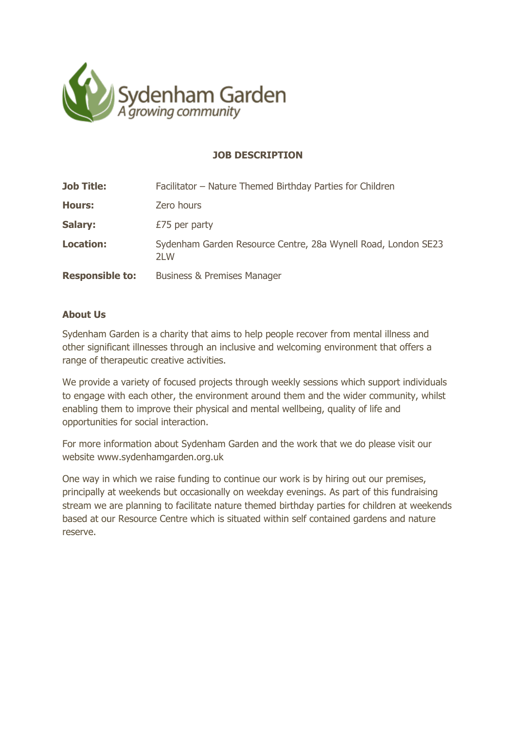

# **JOB DESCRIPTION**

| <b>Job Title:</b>      | Facilitator - Nature Themed Birthday Parties for Children            |
|------------------------|----------------------------------------------------------------------|
| <b>Hours:</b>          | Zero hours                                                           |
| Salary:                | £75 per party                                                        |
| <b>Location:</b>       | Sydenham Garden Resource Centre, 28a Wynell Road, London SE23<br>2LW |
| <b>Responsible to:</b> | <b>Business &amp; Premises Manager</b>                               |

### **About Us**

Sydenham Garden is a charity that aims to help people recover from mental illness and other significant illnesses through an inclusive and welcoming environment that offers a range of therapeutic creative activities.

We provide a variety of focused projects through weekly sessions which support individuals to engage with each other, the environment around them and the wider community, whilst enabling them to improve their physical and mental wellbeing, quality of life and opportunities for social interaction.

For more information about Sydenham Garden and the work that we do please visit our website [www.sydenhamgarden.org.uk](http://www.sydenhamgarden.org.uk/)

One way in which we raise funding to continue our work is by hiring out our premises, principally at weekends but occasionally on weekday evenings. As part of this fundraising stream we are planning to facilitate nature themed birthday parties for children at weekends based at our Resource Centre which is situated within self contained gardens and nature reserve.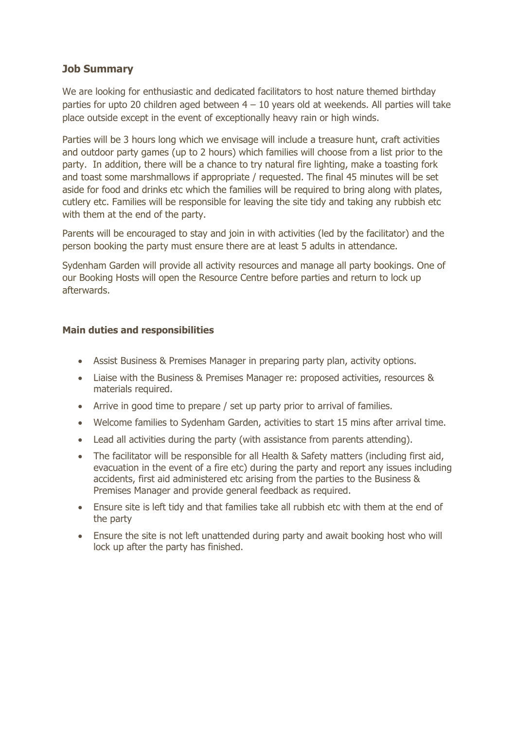## **Job Summary**

We are looking for enthusiastic and dedicated facilitators to host nature themed birthday parties for upto 20 children aged between  $4 - 10$  years old at weekends. All parties will take place outside except in the event of exceptionally heavy rain or high winds.

Parties will be 3 hours long which we envisage will include a treasure hunt, craft activities and outdoor party games (up to 2 hours) which families will choose from a list prior to the party. In addition, there will be a chance to try natural fire lighting, make a toasting fork and toast some marshmallows if appropriate / requested. The final 45 minutes will be set aside for food and drinks etc which the families will be required to bring along with plates, cutlery etc. Families will be responsible for leaving the site tidy and taking any rubbish etc with them at the end of the party.

Parents will be encouraged to stay and join in with activities (led by the facilitator) and the person booking the party must ensure there are at least 5 adults in attendance.

Sydenham Garden will provide all activity resources and manage all party bookings. One of our Booking Hosts will open the Resource Centre before parties and return to lock up afterwards.

### **Main duties and responsibilities**

- Assist Business & Premises Manager in preparing party plan, activity options.
- Liaise with the Business & Premises Manager re: proposed activities, resources & materials required.
- Arrive in good time to prepare / set up party prior to arrival of families.
- Welcome families to Sydenham Garden, activities to start 15 mins after arrival time.
- Lead all activities during the party (with assistance from parents attending).
- The facilitator will be responsible for all Health & Safety matters (including first aid, evacuation in the event of a fire etc) during the party and report any issues including accidents, first aid administered etc arising from the parties to the Business & Premises Manager and provide general feedback as required.
- Ensure site is left tidy and that families take all rubbish etc with them at the end of the party
- Ensure the site is not left unattended during party and await booking host who will lock up after the party has finished.